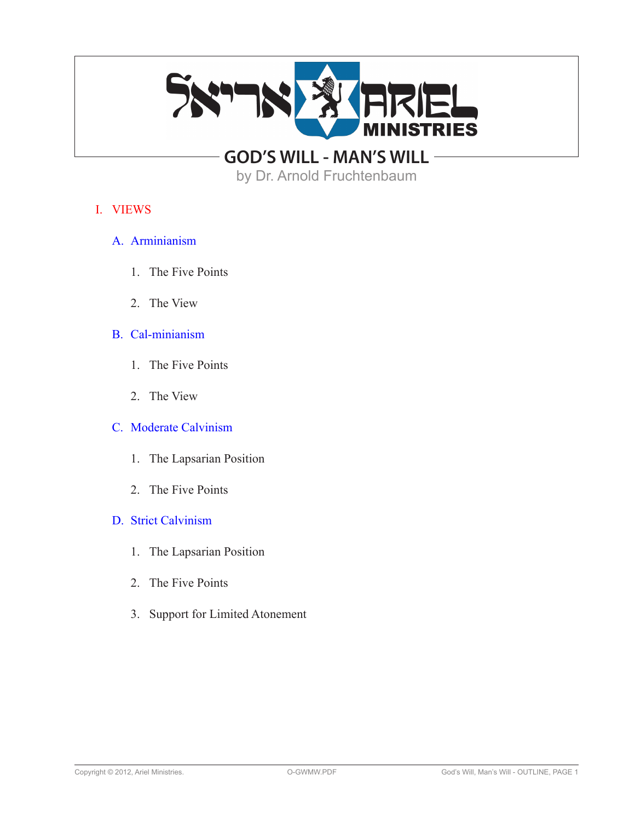

by Dr. Arnold Fruchtenbaum

## I. VIEWS

- A. Arminianism
	- 1. The Five Points
	- 2. The View

# B. Cal-minianism

- 1. The Five Points
- 2. The View

## C. Moderate Calvinism

- 1. The Lapsarian Position
- 2. The Five Points

## D. Strict Calvinism

- 1. The Lapsarian Position
- 2. The Five Points
- 3. Support for Limited Atonement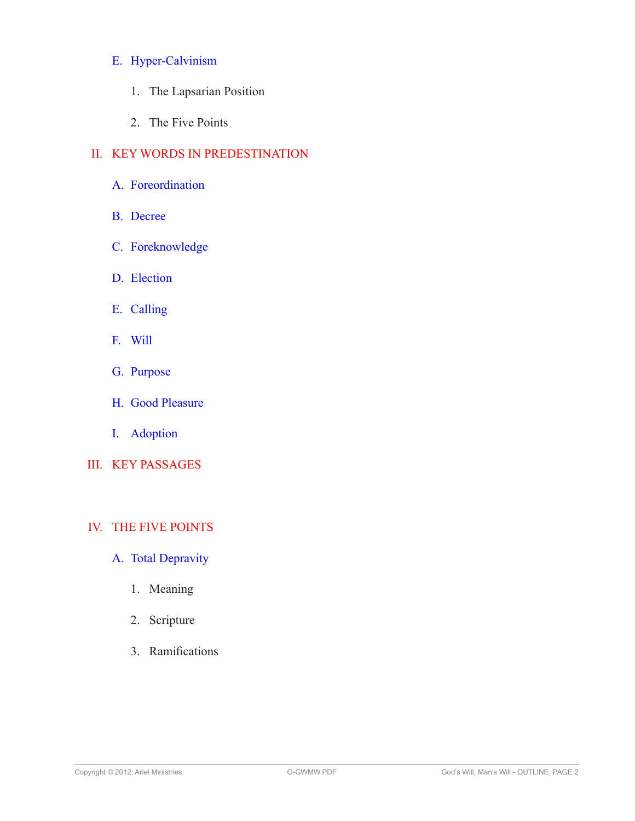## E. Hyper-Calvinism

- 1. The Lapsarian Position
- 2. The Five Points

# II. KEY WORDS IN PREDESTINATION

- A. Foreordination
- B. Decree
- C. Foreknowledge
- D. Election
- E. Calling
- F. Will
- G. Purpose
- H. Good Pleasure
- I. Adoption
- III. KEY PASSAGES

# IV. THE FIVE POINTS

- A. Total Depravity
	- 1. Meaning
	- 2. Scripture
	- 3. Ramifications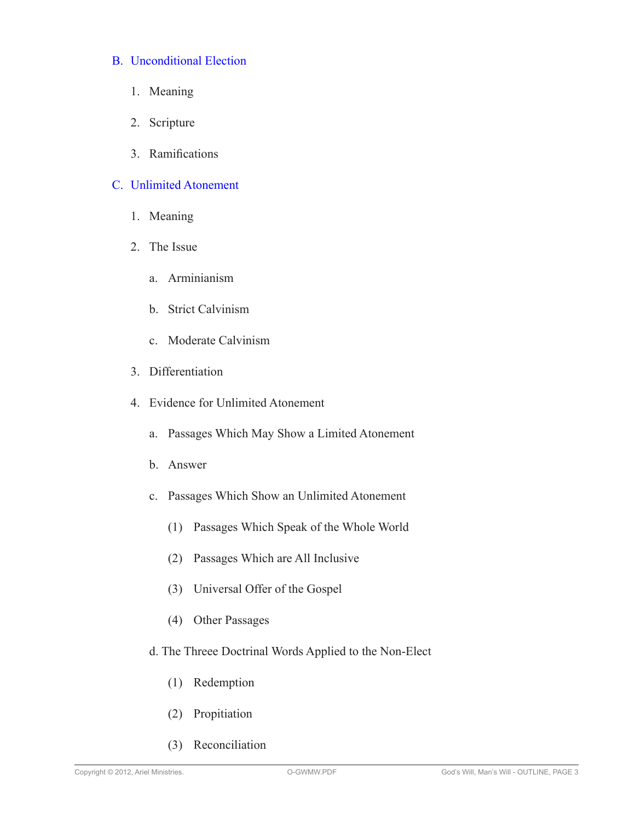### B. Unconditional Election

- 1. Meaning
- 2. Scripture
- 3. Ramifications

### C. Unlimited Atonement

- 1. Meaning
- 2. The Issue
	- a. Arminianism
	- b. Strict Calvinism
	- c. Moderate Calvinism
- 3. Differentiation
- 4. Evidence for Unlimited Atonement
	- a. Passages Which May Show a Limited Atonement
	- b. Answer
	- c. Passages Which Show an Unlimited Atonement
		- (1) Passages Which Speak of the Whole World
		- (2) Passages Which are All Inclusive
		- (3) Universal Offer of the Gospel
		- (4) Other Passages
	- d. The Threee Doctrinal Words Applied to the Non-Elect
		- (1) Redemption
		- (2) Propitiation
		- (3) Reconciliation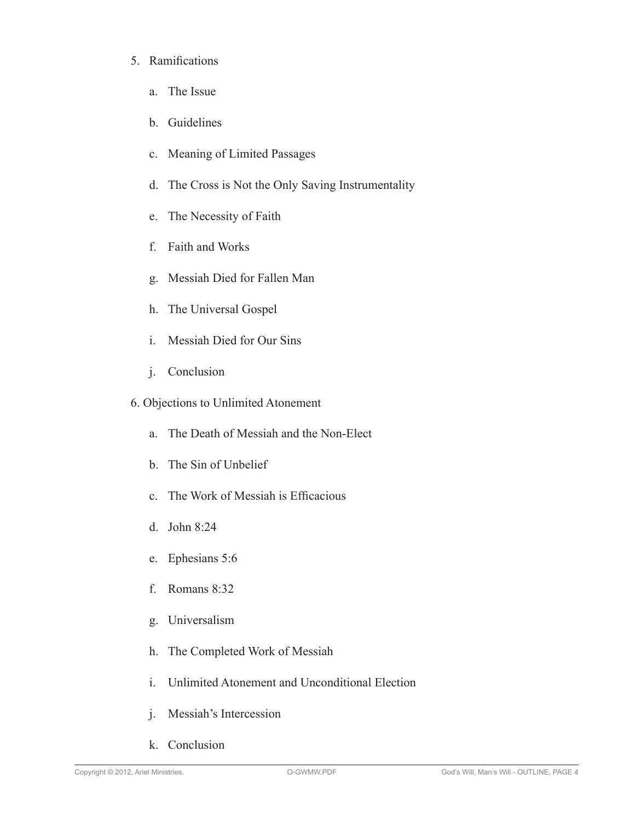- 5. Ramifications
	- a. The Issue
	- b. Guidelines
	- c. Meaning of Limited Passages
	- d. The Cross is Not the Only Saving Instrumentality
	- e. The Necessity of Faith
	- f. Faith and Works
	- g. Messiah Died for Fallen Man
	- h. The Universal Gospel
	- i. Messiah Died for Our Sins
	- j. Conclusion
- 6. Objections to Unlimited Atonement
	- a. The Death of Messiah and the Non-Elect
	- b. The Sin of Unbelief
	- c. The Work of Messiah is Efficacious
	- d. John 8:24
	- e. Ephesians 5:6
	- f. Romans 8:32
	- g. Universalism
	- h. The Completed Work of Messiah
	- i. Unlimited Atonement and Unconditional Election
	- j. Messiah's Intercession
	- k. Conclusion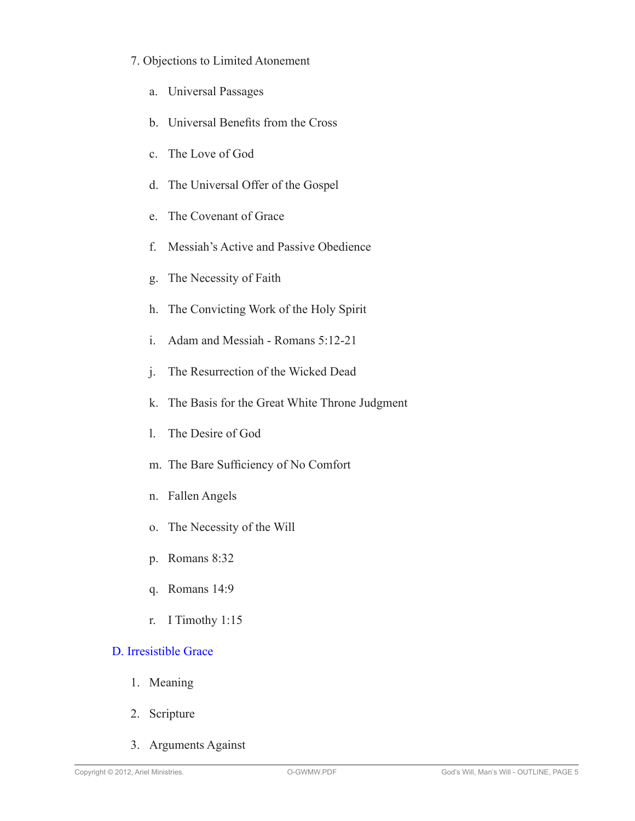## 7. Objections to Limited Atonement

- a. Universal Passages
- b. Universal Benefits from the Cross
- c. The Love of God
- d. The Universal Offer of the Gospel
- e. The Covenant of Grace
- f. Messiah's Active and Passive Obedience
- g. The Necessity of Faith
- h. The Convicting Work of the Holy Spirit
- i. Adam and Messiah Romans 5:12-21
- j. The Resurrection of the Wicked Dead
- k. The Basis for the Great White Throne Judgment
- l. The Desire of God
- m. The Bare Sufficiency of No Comfort
- n. Fallen Angels
- o. The Necessity of the Will
- p. Romans 8:32
- q. Romans 14:9
- r. I Timothy 1:15

# D. Irresistible Grace

- 1. Meaning
- 2. Scripture
- 3. Arguments Against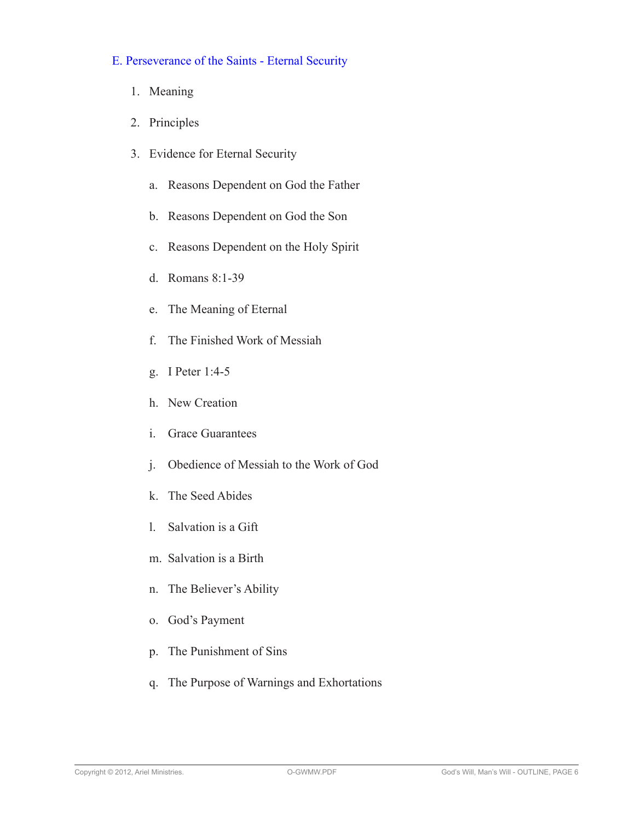## E. Perseverance of the Saints - Eternal Security

- 1. Meaning
- 2. Principles
- 3. Evidence for Eternal Security
	- a. Reasons Dependent on God the Father
	- b. Reasons Dependent on God the Son
	- c. Reasons Dependent on the Holy Spirit
	- d. Romans 8:1-39
	- e. The Meaning of Eternal
	- f. The Finished Work of Messiah
	- g. I Peter 1:4-5
	- h. New Creation
	- i. Grace Guarantees
	- j. Obedience of Messiah to the Work of God
	- k. The Seed Abides
	- l. Salvation is a Gift
	- m. Salvation is a Birth
	- n. The Believer's Ability
	- o. God's Payment
	- p. The Punishment of Sins
	- q. The Purpose of Warnings and Exhortations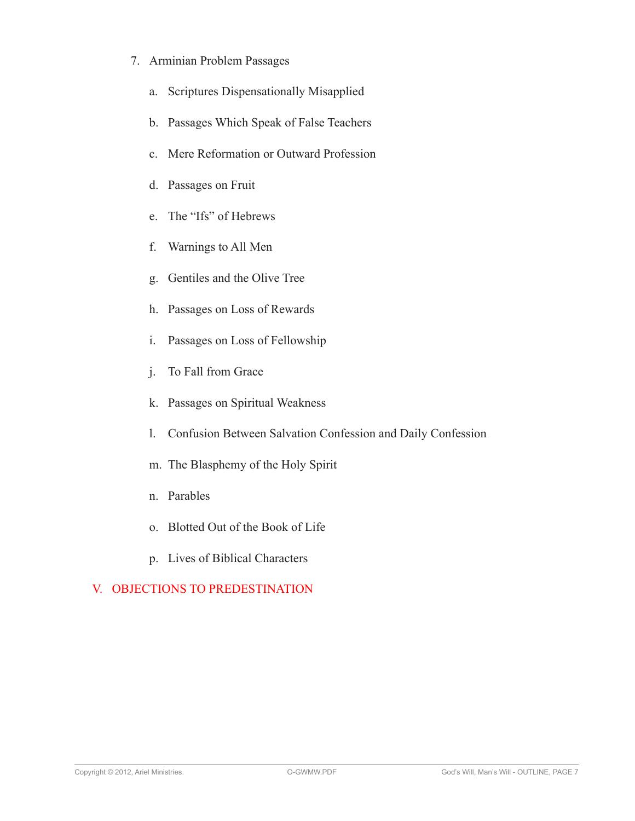- 7. Arminian Problem Passages
	- a. Scriptures Dispensationally Misapplied
	- b. Passages Which Speak of False Teachers
	- c. Mere Reformation or Outward Profession
	- d. Passages on Fruit
	- e. The "Ifs" of Hebrews
	- f. Warnings to All Men
	- g. Gentiles and the Olive Tree
	- h. Passages on Loss of Rewards
	- i. Passages on Loss of Fellowship
	- j. To Fall from Grace
	- k. Passages on Spiritual Weakness
	- l. Confusion Between Salvation Confession and Daily Confession
	- m. The Blasphemy of the Holy Spirit
	- n. Parables
	- o. Blotted Out of the Book of Life
	- p. Lives of Biblical Characters

# V. OBJECTIONS TO PREDESTINATION